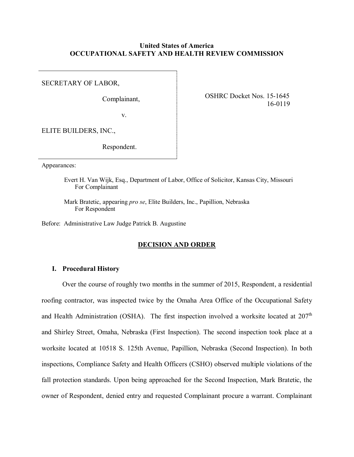## **United States of America OCCUPATIONAL SAFETY AND HEALTH REVIEW COMMISSION**

SECRETARY OF LABOR,

Complainant,

OSHRC Docket Nos. 15-1645 16-0119

v.

ELITE BUILDERS, INC.,

Respondent.

Appearances:

Evert H. Van Wijk, Esq., Department of Labor, Office of Solicitor, Kansas City, Missouri For Complainant

Mark Bratetic, appearing *pro se*, Elite Builders, Inc., Papillion, Nebraska For Respondent

Before: Administrative Law Judge Patrick B. Augustine

## **DECISION AND ORDER**

### **I. Procedural History**

Over the course of roughly two months in the summer of 2015, Respondent, a residential roofing contractor, was inspected twice by the Omaha Area Office of the Occupational Safety and Health Administration (OSHA). The first inspection involved a worksite located at  $207<sup>th</sup>$ and Shirley Street, Omaha, Nebraska (First Inspection). The second inspection took place at a worksite located at 10518 S. 125th Avenue, Papillion, Nebraska (Second Inspection). In both inspections, Compliance Safety and Health Officers (CSHO) observed multiple violations of the fall protection standards. Upon being approached for the Second Inspection, Mark Bratetic, the owner of Respondent, denied entry and requested Complainant procure a warrant. Complainant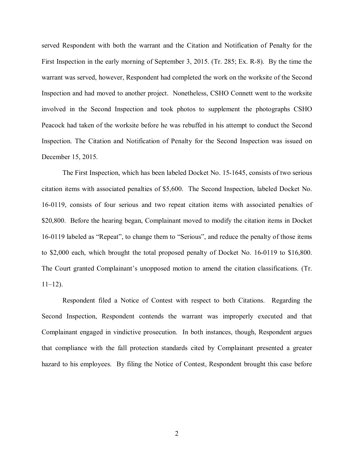served Respondent with both the warrant and the Citation and Notification of Penalty for the First Inspection in the early morning of September 3, 2015. (Tr. 285; Ex. R-8). By the time the warrant was served, however, Respondent had completed the work on the worksite of the Second Inspection and had moved to another project. Nonetheless, CSHO Connett went to the worksite involved in the Second Inspection and took photos to supplement the photographs CSHO Peacock had taken of the worksite before he was rebuffed in his attempt to conduct the Second Inspection. The Citation and Notification of Penalty for the Second Inspection was issued on December 15, 2015.

The First Inspection, which has been labeled Docket No. 15-1645, consists of two serious citation items with associated penalties of \$5,600. The Second Inspection, labeled Docket No. 16-0119, consists of four serious and two repeat citation items with associated penalties of \$20,800. Before the hearing began, Complainant moved to modify the citation items in Docket 16-0119 labeled as "Repeat", to change them to "Serious", and reduce the penalty of those items to \$2,000 each, which brought the total proposed penalty of Docket No. 16-0119 to \$16,800. The Court granted Complainant's unopposed motion to amend the citation classifications. (Tr.  $11-12$ ).

Respondent filed a Notice of Contest with respect to both Citations. Regarding the Second Inspection, Respondent contends the warrant was improperly executed and that Complainant engaged in vindictive prosecution. In both instances, though, Respondent argues that compliance with the fall protection standards cited by Complainant presented a greater hazard to his employees. By filing the Notice of Contest, Respondent brought this case before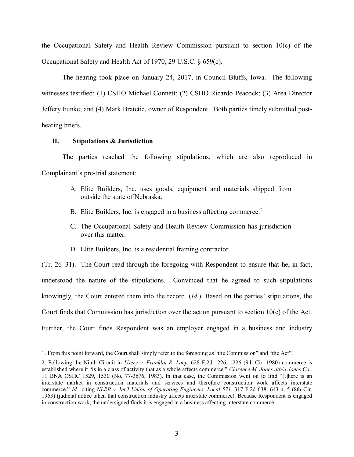the Occupational Safety and Health Review Commission pursuant to section 10(c) of the Occupational Safety and Health Act of [1](#page-2-0)970, 29 U.S.C.  $\S 659(c).$ <sup>1</sup>

The hearing took place on January 24, 2017, in Council Bluffs, Iowa. The following witnesses testified: (1) CSHO Michael Connett; (2) CSHO Ricardo Peacock; (3) Area Director Jeffery Funke; and (4) Mark Bratetic, owner of Respondent. Both parties timely submitted posthearing briefs.

# **II. Stipulations & Jurisdiction**

The parties reached the following stipulations, which are also reproduced in Complainant's pre-trial statement:

- A. Elite Builders, Inc. uses goods, equipment and materials shipped from outside the state of Nebraska.
- B. Elite Builders, Inc. is engaged in a business affecting commerce.<sup>[2](#page-2-1)</sup>
- C. The Occupational Safety and Health Review Commission has jurisdiction over this matter.
- D. Elite Builders, Inc. is a residential framing contractor.

(Tr. 26–31). The Court read through the foregoing with Respondent to ensure that he, in fact, understood the nature of the stipulations. Convinced that he agreed to such stipulations knowingly, the Court entered them into the record. (*Id.*). Based on the parties' stipulations, the Court finds that Commission has jurisdiction over the action pursuant to section 10(c) of the Act. Further, the Court finds Respondent was an employer engaged in a business and industry

<span id="page-2-0"></span> $\overline{a}$ 1. From this point forward, the Court shall simply refer to the foregoing as "the Commission" and "the Act".

<span id="page-2-1"></span><sup>2.</sup> Following the Ninth Circuit in *Usery v. Franklin R. Lacy*, 628 F.2d 1226, 1226 (9th Cir. 1980) commerce is established where it "is in a class of activity that as a whole affects commerce." *Clarence M. Jones d/b/a Jones Co.,* 11 BNA OSHC 1529, 1530 (No. 77-3676, 1983). In that case, the Commission went on to find "[t]here is an interstate market in construction materials and services and therefore construction work affects interstate commerce." *Id.*, citing *NLRB v. Int'l Union of Operating Engineers, Local 571*, 317 F.2d 638, 643 n. 5 (8th Cir. 1963) (judicial notice taken that construction industry affects interstate commerce). Because Respondent is engaged in construction work, the undersigned finds it is engaged in a business affecting interstate commerce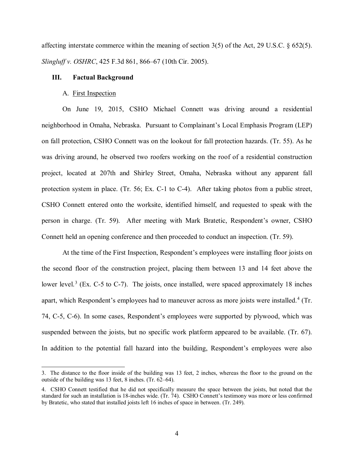affecting interstate commerce within the meaning of section 3(5) of the Act, 29 U.S.C. § 652(5). *Slingluff v. OSHRC*, 425 F.3d 861, 866–67 (10th Cir. 2005).

### **III. Factual Background**

#### A. First Inspection

 $\overline{a}$ 

On June 19, 2015, CSHO Michael Connett was driving around a residential neighborhood in Omaha, Nebraska. Pursuant to Complainant's Local Emphasis Program (LEP) on fall protection, CSHO Connett was on the lookout for fall protection hazards. (Tr. 55). As he was driving around, he observed two roofers working on the roof of a residential construction project, located at 207th and Shirley Street, Omaha, Nebraska without any apparent fall protection system in place. (Tr. 56; Ex. C-1 to C-4). After taking photos from a public street, CSHO Connett entered onto the worksite, identified himself, and requested to speak with the person in charge. (Tr. 59). After meeting with Mark Bratetic, Respondent's owner, CSHO Connett held an opening conference and then proceeded to conduct an inspection. (Tr. 59).

At the time of the First Inspection, Respondent's employees were installing floor joists on the second floor of the construction project, placing them between 13 and 14 feet above the lower level.<sup>[3](#page-3-0)</sup> (Ex. C-5 to C-7). The joists, once installed, were spaced approximately 18 inches apart, which Respondent's employees had to maneuver across as more joists were installed.<sup>[4](#page-3-1)</sup> (Tr. 74, C-5, C-6). In some cases, Respondent's employees were supported by plywood, which was suspended between the joists, but no specific work platform appeared to be available. (Tr. 67). In addition to the potential fall hazard into the building, Respondent's employees were also

<span id="page-3-0"></span><sup>3.</sup> The distance to the floor inside of the building was 13 feet, 2 inches, whereas the floor to the ground on the outside of the building was 13 feet, 8 inches. (Tr. 62–64).

<span id="page-3-1"></span><sup>4.</sup> CSHO Connett testified that he did not specifically measure the space between the joists, but noted that the standard for such an installation is 18-inches wide. (Tr. 74). CSHO Connett's testimony was more or less confirmed by Bratetic, who stated that installed joists left 16 inches of space in between. (Tr. 249).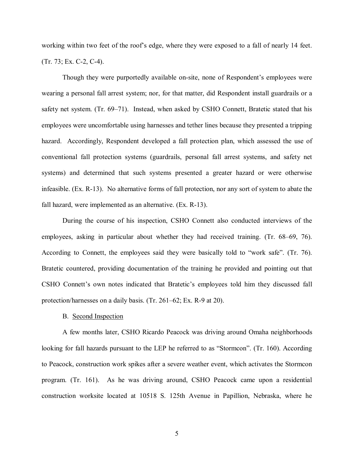working within two feet of the roof's edge, where they were exposed to a fall of nearly 14 feet. (Tr. 73; Ex. C-2, C-4).

Though they were purportedly available on-site, none of Respondent's employees were wearing a personal fall arrest system; nor, for that matter, did Respondent install guardrails or a safety net system. (Tr. 69–71). Instead, when asked by CSHO Connett, Bratetic stated that his employees were uncomfortable using harnesses and tether lines because they presented a tripping hazard. Accordingly, Respondent developed a fall protection plan, which assessed the use of conventional fall protection systems (guardrails, personal fall arrest systems, and safety net systems) and determined that such systems presented a greater hazard or were otherwise infeasible. (Ex. R-13). No alternative forms of fall protection, nor any sort of system to abate the fall hazard, were implemented as an alternative. (Ex. R-13).

During the course of his inspection, CSHO Connett also conducted interviews of the employees, asking in particular about whether they had received training. (Tr. 68–69, 76). According to Connett, the employees said they were basically told to "work safe". (Tr. 76). Bratetic countered, providing documentation of the training he provided and pointing out that CSHO Connett's own notes indicated that Bratetic's employees told him they discussed fall protection/harnesses on a daily basis. (Tr. 261–62; Ex. R-9 at 20).

#### B. Second Inspection

A few months later, CSHO Ricardo Peacock was driving around Omaha neighborhoods looking for fall hazards pursuant to the LEP he referred to as "Stormcon". (Tr. 160). According to Peacock, construction work spikes after a severe weather event, which activates the Stormcon program. (Tr. 161). As he was driving around, CSHO Peacock came upon a residential construction worksite located at 10518 S. 125th Avenue in Papillion, Nebraska, where he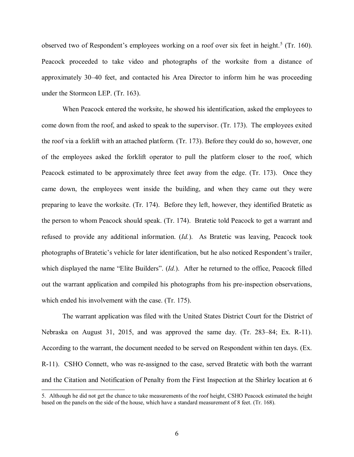observed two of Respondent's employees working on a roof over six feet in height.<sup>[5](#page-5-0)</sup> (Tr. 160). Peacock proceeded to take video and photographs of the worksite from a distance of approximately 30–40 feet, and contacted his Area Director to inform him he was proceeding under the Stormcon LEP. (Tr. 163).

When Peacock entered the worksite, he showed his identification, asked the employees to come down from the roof, and asked to speak to the supervisor. (Tr. 173). The employees exited the roof via a forklift with an attached platform. (Tr. 173). Before they could do so, however, one of the employees asked the forklift operator to pull the platform closer to the roof, which Peacock estimated to be approximately three feet away from the edge. (Tr. 173). Once they came down, the employees went inside the building, and when they came out they were preparing to leave the worksite. (Tr. 174). Before they left, however, they identified Bratetic as the person to whom Peacock should speak. (Tr. 174). Bratetic told Peacock to get a warrant and refused to provide any additional information. (*Id.*). As Bratetic was leaving, Peacock took photographs of Bratetic's vehicle for later identification, but he also noticed Respondent's trailer, which displayed the name "Elite Builders". (*Id.*). After he returned to the office, Peacock filled out the warrant application and compiled his photographs from his pre-inspection observations, which ended his involvement with the case. (Tr. 175).

The warrant application was filed with the United States District Court for the District of Nebraska on August 31, 2015, and was approved the same day. (Tr. 283–84; Ex. R-11). According to the warrant, the document needed to be served on Respondent within ten days. (Ex. R-11). CSHO Connett, who was re-assigned to the case, served Bratetic with both the warrant and the Citation and Notification of Penalty from the First Inspection at the Shirley location at 6

<span id="page-5-0"></span><sup>5.</sup> Although he did not get the chance to take measurements of the roof height, CSHO Peacock estimated the height based on the panels on the side of the house, which have a standard measurement of 8 feet. (Tr. 168).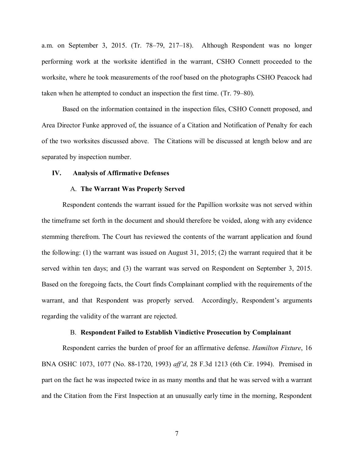a.m. on September 3, 2015. (Tr. 78–79, 217–18). Although Respondent was no longer performing work at the worksite identified in the warrant, CSHO Connett proceeded to the worksite, where he took measurements of the roof based on the photographs CSHO Peacock had taken when he attempted to conduct an inspection the first time. (Tr. 79–80).

Based on the information contained in the inspection files, CSHO Connett proposed, and Area Director Funke approved of, the issuance of a Citation and Notification of Penalty for each of the two worksites discussed above. The Citations will be discussed at length below and are separated by inspection number.

#### **IV. Analysis of Affirmative Defenses**

### A. **The Warrant Was Properly Served**

Respondent contends the warrant issued for the Papillion worksite was not served within the timeframe set forth in the document and should therefore be voided, along with any evidence stemming therefrom. The Court has reviewed the contents of the warrant application and found the following: (1) the warrant was issued on August 31, 2015; (2) the warrant required that it be served within ten days; and (3) the warrant was served on Respondent on September 3, 2015. Based on the foregoing facts, the Court finds Complainant complied with the requirements of the warrant, and that Respondent was properly served. Accordingly, Respondent's arguments regarding the validity of the warrant are rejected.

#### B. **Respondent Failed to Establish Vindictive Prosecution by Complainant**

Respondent carries the burden of proof for an affirmative defense. *Hamilton Fixture*, 16 BNA OSHC 1073, 1077 (No. 88-1720, 1993) *aff'd*, 28 F.3d 1213 (6th Cir. 1994). Premised in part on the fact he was inspected twice in as many months and that he was served with a warrant and the Citation from the First Inspection at an unusually early time in the morning, Respondent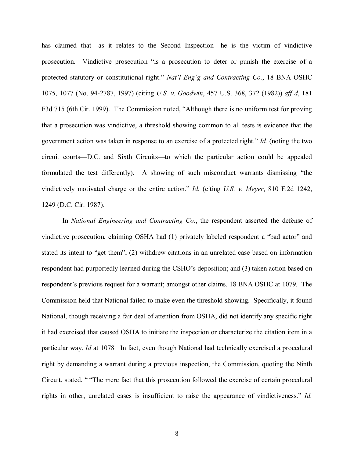has claimed that—as it relates to the Second Inspection—he is the victim of vindictive prosecution. Vindictive prosecution "is a prosecution to deter or punish the exercise of a protected statutory or constitutional right." *Nat'l Eng'g and Contracting Co.*, 18 BNA OSHC 1075, 1077 (No. 94-2787, 1997) (citing *U.S. v. Goodwin*, 457 U.S. 368, 372 (1982)) *aff'd*, 181 F3d 715 (6th Cir. 1999). The Commission noted, "Although there is no uniform test for proving that a prosecution was vindictive, a threshold showing common to all tests is evidence that the government action was taken in response to an exercise of a protected right." *Id.* (noting the two circuit courts—D.C. and Sixth Circuits—to which the particular action could be appealed formulated the test differently). A showing of such misconduct warrants dismissing "the vindictively motivated charge or the entire action." *Id.* (citing *U.S. v. Meyer*, 810 F.2d 1242, 1249 (D.C. Cir. 1987).

In *National Engineering and Contracting Co*., the respondent asserted the defense of vindictive prosecution, claiming OSHA had (1) privately labeled respondent a "bad actor" and stated its intent to "get them"; (2) withdrew citations in an unrelated case based on information respondent had purportedly learned during the CSHO's deposition; and (3) taken action based on respondent's previous request for a warrant; amongst other claims. 18 BNA OSHC at 1079*.* The Commission held that National failed to make even the threshold showing. Specifically, it found National, though receiving a fair deal of attention from OSHA, did not identify any specific right it had exercised that caused OSHA to initiate the inspection or characterize the citation item in a particular way. *Id* at 1078*.* In fact, even though National had technically exercised a procedural right by demanding a warrant during a previous inspection, the Commission, quoting the Ninth Circuit, stated, " "The mere fact that this prosecution followed the exercise of certain procedural rights in other, unrelated cases is insufficient to raise the appearance of vindictiveness." *Id.*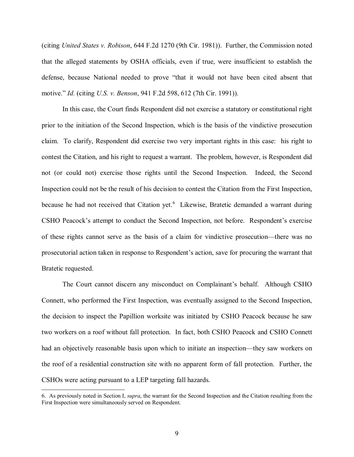(citing *United States v. Robison*, 644 F.2d 1270 (9th Cir. 1981)). Further, the Commission noted that the alleged statements by OSHA officials, even if true, were insufficient to establish the defense, because National needed to prove "that it would not have been cited absent that motive." *Id.* (citing *U.S. v. Benson*, 941 F.2d 598, 612 (7th Cir. 1991)).

In this case, the Court finds Respondent did not exercise a statutory or constitutional right prior to the initiation of the Second Inspection, which is the basis of the vindictive prosecution claim. To clarify, Respondent did exercise two very important rights in this case: his right to contest the Citation, and his right to request a warrant. The problem, however, is Respondent did not (or could not) exercise those rights until the Second Inspection. Indeed, the Second Inspection could not be the result of his decision to contest the Citation from the First Inspection, because he had not received that Citation yet.<sup>[6](#page-8-0)</sup> Likewise, Bratetic demanded a warrant during CSHO Peacock's attempt to conduct the Second Inspection, not before. Respondent's exercise of these rights cannot serve as the basis of a claim for vindictive prosecution—there was no prosecutorial action taken in response to Respondent's action, save for procuring the warrant that Bratetic requested.

The Court cannot discern any misconduct on Complainant's behalf. Although CSHO Connett, who performed the First Inspection, was eventually assigned to the Second Inspection, the decision to inspect the Papillion worksite was initiated by CSHO Peacock because he saw two workers on a roof without fall protection. In fact, both CSHO Peacock and CSHO Connett had an objectively reasonable basis upon which to initiate an inspection—they saw workers on the roof of a residential construction site with no apparent form of fall protection. Further, the CSHOs were acting pursuant to a LEP targeting fall hazards.

<span id="page-8-0"></span><sup>6.</sup> As previously noted in Section I, *supra*, the warrant for the Second Inspection and the Citation resulting from the First Inspection were simultaneously served on Respondent.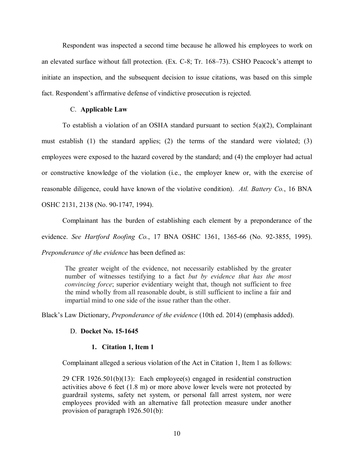Respondent was inspected a second time because he allowed his employees to work on an elevated surface without fall protection. (Ex. C-8; Tr. 168–73). CSHO Peacock's attempt to initiate an inspection, and the subsequent decision to issue citations, was based on this simple fact. Respondent's affirmative defense of vindictive prosecution is rejected.

# C. **Applicable Law**

To establish a violation of an OSHA standard pursuant to section 5(a)(2), Complainant must establish (1) the standard applies; (2) the terms of the standard were violated; (3) employees were exposed to the hazard covered by the standard; and (4) the employer had actual or constructive knowledge of the violation (i.e., the employer knew or, with the exercise of reasonable diligence, could have known of the violative condition). *Atl. Battery Co.*, 16 BNA OSHC 2131, 2138 (No. 90-1747, 1994).

Complainant has the burden of establishing each element by a preponderance of the evidence. *See Hartford Roofing Co.*, 17 BNA OSHC 1361, 1365-66 (No. 92-3855, 1995). *Preponderance of the evidence* has been defined as:

The greater weight of the evidence, not necessarily established by the greater number of witnesses testifying to a fact *but by evidence that has the most convincing force*; superior evidentiary weight that, though not sufficient to free the mind wholly from all reasonable doubt, is still sufficient to incline a fair and impartial mind to one side of the issue rather than the other.

Black's Law Dictionary, *Preponderance of the evidence* (10th ed. 2014) (emphasis added).

# D. **Docket No. 15-1645**

# **1. Citation 1, Item 1**

Complainant alleged a serious violation of the Act in Citation 1, Item 1 as follows:

29 CFR 1926.501(b)(13): Each employee(s) engaged in residential construction activities above 6 feet (1.8 m) or more above lower levels were not protected by guardrail systems, safety net system, or personal fall arrest system, nor were employees provided with an alternative fall protection measure under another provision of paragraph 1926.501(b):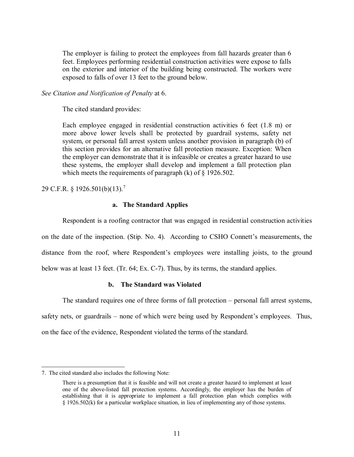The employer is failing to protect the employees from fall hazards greater than 6 feet. Employees performing residential construction activities were expose to falls on the exterior and interior of the building being constructed. The workers were exposed to falls of over 13 feet to the ground below.

*See Citation and Notification of Penalty* at 6.

The cited standard provides:

Each employee engaged in residential construction activities 6 feet (1.8 m) or more above lower levels shall be protected by guardrail systems, safety net system, or personal fall arrest system unless another provision in paragraph (b) of this section provides for an alternative fall protection measure. Exception: When the employer can demonstrate that it is infeasible or creates a greater hazard to use these systems, the employer shall develop and implement a fall protection plan which meets the requirements of paragraph  $(k)$  of  $\S$  1926.502.

29 C.F.R. § 1926.501(b)(13).[7](#page-10-0)

# **a. The Standard Applies**

Respondent is a roofing contractor that was engaged in residential construction activities on the date of the inspection. (Stip. No. 4). According to CSHO Connett's measurements, the distance from the roof, where Respondent's employees were installing joists, to the ground below was at least 13 feet. (Tr. 64; Ex. C-7). Thus, by its terms, the standard applies.

## **b. The Standard was Violated**

The standard requires one of three forms of fall protection – personal fall arrest systems, safety nets, or guardrails – none of which were being used by Respondent's employees. Thus, on the face of the evidence, Respondent violated the terms of the standard.

<span id="page-10-0"></span><sup>7.</sup> The cited standard also includes the following Note:

There is a presumption that it is feasible and will not create a greater hazard to implement at least one of the above-listed fall protection systems. Accordingly, the employer has the burden of establishing that it is appropriate to implement a fall protection plan which complies with § 1926.502(k) for a particular workplace situation, in lieu of implementing any of those systems.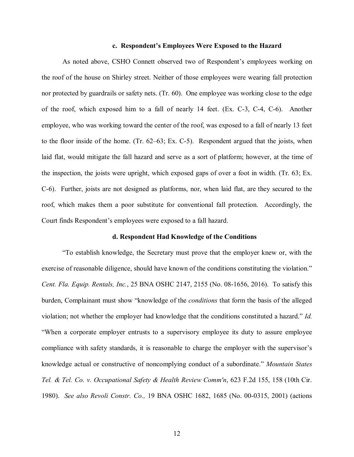### **c. Respondent's Employees Were Exposed to the Hazard**

As noted above, CSHO Connett observed two of Respondent's employees working on the roof of the house on Shirley street. Neither of those employees were wearing fall protection nor protected by guardrails or safety nets. (Tr. 60). One employee was working close to the edge of the roof, which exposed him to a fall of nearly 14 feet. (Ex. C-3, C-4, C-6). Another employee, who was working toward the center of the roof, was exposed to a fall of nearly 13 feet to the floor inside of the home. (Tr. 62–63; Ex. C-5). Respondent argued that the joists, when laid flat, would mitigate the fall hazard and serve as a sort of platform; however, at the time of the inspection, the joists were upright, which exposed gaps of over a foot in width. (Tr. 63; Ex. C-6). Further, joists are not designed as platforms, nor, when laid flat, are they secured to the roof, which makes them a poor substitute for conventional fall protection. Accordingly, the Court finds Respondent's employees were exposed to a fall hazard.

### **d. Respondent Had Knowledge of the Conditions**

"To establish knowledge, the Secretary must prove that the employer knew or, with the exercise of reasonable diligence, should have known of the conditions constituting the violation." *Cent. Fla. Equip. Rentals, Inc.*, 25 BNA OSHC 2147, 2155 (No. 08-1656, 2016). To satisfy this burden, Complainant must show "knowledge of the *conditions* that form the basis of the alleged violation; not whether the employer had knowledge that the conditions constituted a hazard." *Id.* "When a corporate employer entrusts to a supervisory employee its duty to assure employee compliance with safety standards, it is reasonable to charge the employer with the supervisor's knowledge actual or constructive of noncomplying conduct of a subordinate." *Mountain States Tel. & Tel. Co. v. Occupational Safety & Health Review Comm'n*, 623 F.2d 155, 158 (10th Cir. 1980). *See also Revoli Constr. Co.,* 19 BNA OSHC 1682, 1685 (No. 00-0315, 2001) (actions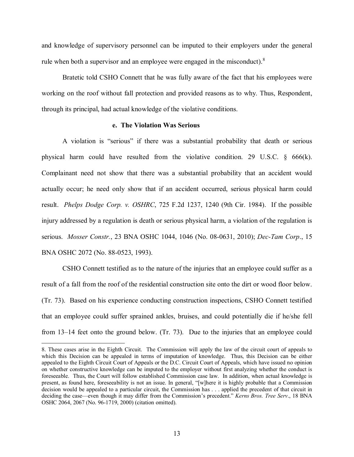and knowledge of supervisory personnel can be imputed to their employers under the general rule when both a supervisor and an employee were engaged in the misconduct). $8$ 

Bratetic told CSHO Connett that he was fully aware of the fact that his employees were working on the roof without fall protection and provided reasons as to why. Thus, Respondent, through its principal, had actual knowledge of the violative conditions.

### **e. The Violation Was Serious**

A violation is "serious" if there was a substantial probability that death or serious physical harm could have resulted from the violative condition. 29 U.S.C.  $\S$  666(k). Complainant need not show that there was a substantial probability that an accident would actually occur; he need only show that if an accident occurred, serious physical harm could result. *Phelps Dodge Corp. v. OSHRC*, 725 F.2d 1237, 1240 (9th Cir. 1984). If the possible injury addressed by a regulation is death or serious physical harm, a violation of the regulation is serious. *Mosser Constr.*, 23 BNA OSHC 1044, 1046 (No. 08-0631, 2010); *Dec-Tam Corp*., 15 BNA OSHC 2072 (No. 88-0523, 1993).

CSHO Connett testified as to the nature of the injuries that an employee could suffer as a result of a fall from the roof of the residential construction site onto the dirt or wood floor below. (Tr. 73). Based on his experience conducting construction inspections, CSHO Connett testified that an employee could suffer sprained ankles, bruises, and could potentially die if he/she fell from 13–14 feet onto the ground below. (Tr. 73). Due to the injuries that an employee could

<span id="page-12-0"></span><sup>8.</sup> These cases arise in the Eighth Circuit. The Commission will apply the law of the circuit court of appeals to which this Decision can be appealed in terms of imputation of knowledge. Thus, this Decision can be either appealed to the Eighth Circuit Court of Appeals or the D.C. Circuit Court of Appeals, which have issued no opinion on whether constructive knowledge can be imputed to the employer without first analyzing whether the conduct is foreseeable. Thus, the Court will follow established Commission case law. In addition, when actual knowledge is present, as found here, foreseeability is not an issue. In general, "[w]here it is highly probable that a Commission decision would be appealed to a particular circuit, the Commission has . . . applied the precedent of that circuit in deciding the case—even though it may differ from the Commission's precedent." *Kerns Bros. Tree Serv.*, 18 BNA OSHC 2064, 2067 (No. 96-1719, 2000) (citation omitted).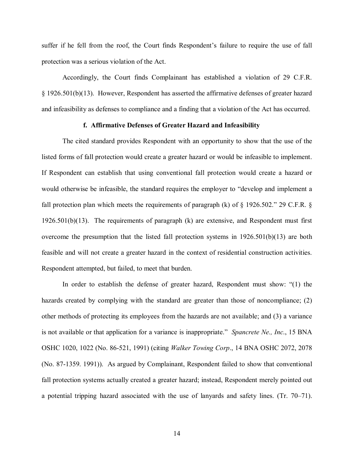suffer if he fell from the roof, the Court finds Respondent's failure to require the use of fall protection was a serious violation of the Act.

Accordingly, the Court finds Complainant has established a violation of 29 C.F.R. § 1926.501(b)(13). However, Respondent has asserted the affirmative defenses of greater hazard and infeasibility as defenses to compliance and a finding that a violation of the Act has occurred.

## **f. Affirmative Defenses of Greater Hazard and Infeasibility**

The cited standard provides Respondent with an opportunity to show that the use of the listed forms of fall protection would create a greater hazard or would be infeasible to implement. If Respondent can establish that using conventional fall protection would create a hazard or would otherwise be infeasible, the standard requires the employer to "develop and implement a fall protection plan which meets the requirements of paragraph (k) of  $\S$  1926.502." 29 C.F.R.  $\S$ 1926.501(b)(13). The requirements of paragraph (k) are extensive, and Respondent must first overcome the presumption that the listed fall protection systems in 1926.501(b)(13) are both feasible and will not create a greater hazard in the context of residential construction activities. Respondent attempted, but failed, to meet that burden.

In order to establish the defense of greater hazard, Respondent must show: "(1) the hazards created by complying with the standard are greater than those of noncompliance; (2) other methods of protecting its employees from the hazards are not available; and (3) a variance is not available or that application for a variance is inappropriate." *Spancrete Ne., Inc*., 15 BNA OSHC 1020, 1022 (No. 86-521, 1991) (citing *Walker Towing Corp*., 14 BNA OSHC 2072, 2078 (No. 87-1359. 1991)). As argued by Complainant, Respondent failed to show that conventional fall protection systems actually created a greater hazard; instead, Respondent merely pointed out a potential tripping hazard associated with the use of lanyards and safety lines. (Tr. 70–71).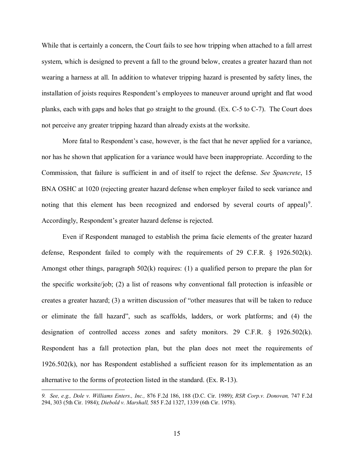While that is certainly a concern, the Court fails to see how tripping when attached to a fall arrest system, which is designed to prevent a fall to the ground below, creates a greater hazard than not wearing a harness at all. In addition to whatever tripping hazard is presented by safety lines, the installation of joists requires Respondent's employees to maneuver around upright and flat wood planks, each with gaps and holes that go straight to the ground. (Ex. C-5 to C-7). The Court does not perceive any greater tripping hazard than already exists at the worksite.

More fatal to Respondent's case, however, is the fact that he never applied for a variance, nor has he shown that application for a variance would have been inappropriate. According to the Commission, that failure is sufficient in and of itself to reject the defense. *See Spancrete*, 15 BNA OSHC at 1020 (rejecting greater hazard defense when employer failed to seek variance and noting that this element has been recognized and endorsed by several courts of appeal)<sup>[9](#page-14-0)</sup>. Accordingly, Respondent's greater hazard defense is rejected.

Even if Respondent managed to establish the prima facie elements of the greater hazard defense, Respondent failed to comply with the requirements of 29 C.F.R. § 1926.502(k). Amongst other things, paragraph 502(k) requires: (1) a qualified person to prepare the plan for the specific worksite/job; (2) a list of reasons why conventional fall protection is infeasible or creates a greater hazard; (3) a written discussion of "other measures that will be taken to reduce or eliminate the fall hazard", such as scaffolds, ladders, or work platforms; and (4) the designation of controlled access zones and safety monitors. 29 C.F.R. § 1926.502(k). Respondent has a fall protection plan, but the plan does not meet the requirements of 1926.502(k), nor has Respondent established a sufficient reason for its implementation as an alternative to the forms of protection listed in the standard. (Ex. R-13).

<span id="page-14-0"></span>*<sup>9.</sup> See, e.g., Dole v. Williams Enters., Inc.,* 876 F.2d 186, 188 (D.C. Cir. 1989); *RSR Corp.v. Donovan,* 747 F.2d 294, 303 (5th Cir. 1984); *Diebold v. Marshall,* 585 F.2d 1327, 1339 (6th Cir. 1978).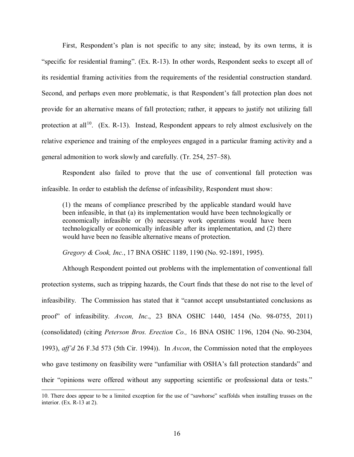First, Respondent's plan is not specific to any site; instead, by its own terms, it is "specific for residential framing". (Ex. R-13). In other words, Respondent seeks to except all of its residential framing activities from the requirements of the residential construction standard. Second, and perhaps even more problematic, is that Respondent's fall protection plan does not provide for an alternative means of fall protection; rather, it appears to justify not utilizing fall protection at all<sup>[10](#page-15-0)</sup>. (Ex. R-13). Instead, Respondent appears to rely almost exclusively on the relative experience and training of the employees engaged in a particular framing activity and a general admonition to work slowly and carefully. (Tr. 254, 257–58).

Respondent also failed to prove that the use of conventional fall protection was infeasible. In order to establish the defense of infeasibility, Respondent must show:

(1) the means of compliance prescribed by the applicable standard would have been infeasible, in that (a) its implementation would have been technologically or economically infeasible or (b) necessary work operations would have been technologically or economically infeasible after its implementation, and (2) there would have been no feasible alternative means of protection.

*Gregory & Cook, Inc.*, 17 BNA OSHC 1189, 1190 (No. 92-1891, 1995).

Although Respondent pointed out problems with the implementation of conventional fall protection systems, such as tripping hazards, the Court finds that these do not rise to the level of infeasibility. The Commission has stated that it "cannot accept unsubstantiated conclusions as proof" of infeasibility. *Avcon, Inc*., 23 BNA OSHC 1440, 1454 (No. 98-0755, 2011) (consolidated) (citing *Peterson Bros. Erection Co.,* 16 BNA OSHC 1196, 1204 (No. 90-2304, 1993), *aff'd* 26 F.3d 573 (5th Cir. 1994)). In *Avcon*, the Commission noted that the employees who gave testimony on feasibility were "unfamiliar with OSHA's fall protection standards" and their "opinions were offered without any supporting scientific or professional data or tests."

<span id="page-15-0"></span><sup>10.</sup> There does appear to be a limited exception for the use of "sawhorse" scaffolds when installing trusses on the interior. (Ex. R-13 at 2).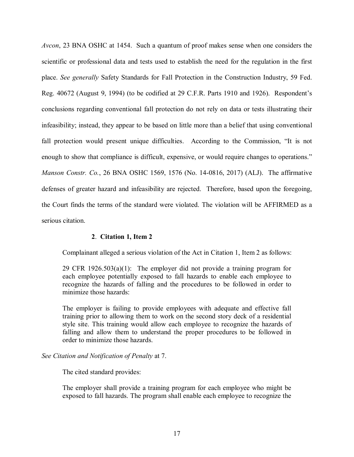*Avcon*, 23 BNA OSHC at 1454. Such a quantum of proof makes sense when one considers the scientific or professional data and tests used to establish the need for the regulation in the first place. *See generally* Safety Standards for Fall Protection in the Construction Industry, 59 Fed. Reg. 40672 (August 9, 1994) (to be codified at 29 C.F.R. Parts 1910 and 1926). Respondent's conclusions regarding conventional fall protection do not rely on data or tests illustrating their infeasibility; instead, they appear to be based on little more than a belief that using conventional fall protection would present unique difficulties. According to the Commission, "It is not enough to show that compliance is difficult, expensive, or would require changes to operations." *Manson Constr. Co.*, 26 BNA OSHC 1569, 1576 (No. 14-0816, 2017) (ALJ). The affirmative defenses of greater hazard and infeasibility are rejected. Therefore, based upon the foregoing, the Court finds the terms of the standard were violated. The violation will be AFFIRMED as a serious citation.

## **2**. **Citation 1, Item 2**

Complainant alleged a serious violation of the Act in Citation 1, Item 2 as follows:

29 CFR 1926.503(a)(1): The employer did not provide a training program for each employee potentially exposed to fall hazards to enable each employee to recognize the hazards of falling and the procedures to be followed in order to minimize those hazards:

The employer is failing to provide employees with adequate and effective fall training prior to allowing them to work on the second story deck of a residential style site. This training would allow each employee to recognize the hazards of falling and allow them to understand the proper procedures to be followed in order to minimize those hazards.

## *See Citation and Notification of Penalty* at 7.

The cited standard provides:

The employer shall provide a training program for each employee who might be exposed to fall hazards. The program shall enable each employee to recognize the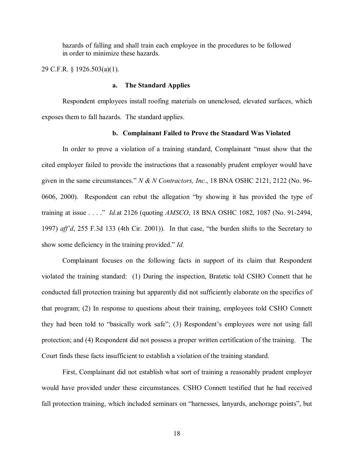hazards of falling and shall train each employee in the procedures to be followed in order to minimize these hazards.

29 C.F.R. § 1926.503(a)(1).

## **a. The Standard Applies**

Respondent employees install roofing materials on unenclosed, elevated surfaces, which exposes them to fall hazards. The standard applies.

# **b. Complainant Failed to Prove the Standard Was Violated**

In order to prove a violation of a training standard, Complainant "must show that the cited employer failed to provide the instructions that a reasonably prudent employer would have given in the same circumstances." *N & N Contractors, Inc.*, 18 BNA OSHC 2121, 2122 (No. 96- 0606, 2000). Respondent can rebut the allegation "by showing it has provided the type of training at issue . . . ." *Id.*at 2126 (quoting *AMSCO*, 18 BNA OSHC 1082, 1087 (No. 91-2494, 1997) *aff'd*, 255 F.3d 133 (4th Cir. 2001)). In that case, "the burden shifts to the Secretary to show some deficiency in the training provided." *Id.*

Complainant focuses on the following facts in support of its claim that Respondent violated the training standard: (1) During the inspection, Bratetic told CSHO Connett that he conducted fall protection training but apparently did not sufficiently elaborate on the specifics of that program; (2) In response to questions about their training, employees told CSHO Connett they had been told to "basically work safe"; (3) Respondent's employees were not using fall protection; and (4) Respondent did not possess a proper written certification of the training. The Court finds these facts insufficient to establish a violation of the training standard.

First, Complainant did not establish what sort of training a reasonably prudent employer would have provided under these circumstances. CSHO Connett testified that he had received fall protection training, which included seminars on "harnesses, lanyards, anchorage points", but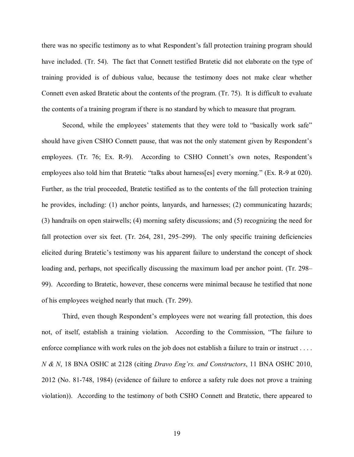there was no specific testimony as to what Respondent's fall protection training program should have included. (Tr. 54). The fact that Connett testified Bratetic did not elaborate on the type of training provided is of dubious value, because the testimony does not make clear whether Connett even asked Bratetic about the contents of the program. (Tr. 75). It is difficult to evaluate the contents of a training program if there is no standard by which to measure that program.

Second, while the employees' statements that they were told to "basically work safe" should have given CSHO Connett pause, that was not the only statement given by Respondent's employees. (Tr. 76; Ex. R-9). According to CSHO Connett's own notes, Respondent's employees also told him that Bratetic "talks about harness[es] every morning." (Ex. R-9 at 020). Further, as the trial proceeded, Bratetic testified as to the contents of the fall protection training he provides, including: (1) anchor points, lanyards, and harnesses; (2) communicating hazards; (3) handrails on open stairwells; (4) morning safety discussions; and (5) recognizing the need for fall protection over six feet. (Tr. 264, 281, 295–299). The only specific training deficiencies elicited during Bratetic's testimony was his apparent failure to understand the concept of shock loading and, perhaps, not specifically discussing the maximum load per anchor point. (Tr. 298– 99). According to Bratetic, however, these concerns were minimal because he testified that none of his employees weighed nearly that much. (Tr. 299).

Third, even though Respondent's employees were not wearing fall protection, this does not, of itself, establish a training violation. According to the Commission, "The failure to enforce compliance with work rules on the job does not establish a failure to train or instruct . . . . *N & N*, 18 BNA OSHC at 2128 (citing *Dravo Eng'rs. and Constructors*, 11 BNA OSHC 2010, 2012 (No. 81-748, 1984) (evidence of failure to enforce a safety rule does not prove a training violation)). According to the testimony of both CSHO Connett and Bratetic, there appeared to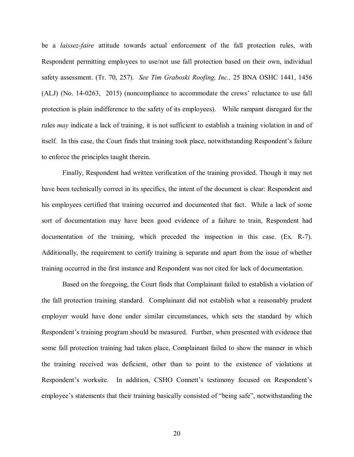be a *laissez-faire* attitude towards actual enforcement of the fall protection rules, with Respondent permitting employees to use/not use fall protection based on their own, individual safety assessment. (Tr. 70, 257). *See Tim Graboski Roofing, Inc.,* 25 BNA OSHC 1441, 1456 (ALJ) (No. 14-0263, 2015) (noncompliance to accommodate the crews' reluctance to use fall protection is plain indifference to the safety of its employees). While rampant disregard for the rules *may* indicate a lack of training, it is not sufficient to establish a training violation in and of itself. In this case, the Court finds that training took place, notwithstanding Respondent's failure to enforce the principles taught therein.

Finally, Respondent had written verification of the training provided. Though it may not have been technically correct in its specifics, the intent of the document is clear: Respondent and his employees certified that training occurred and documented that fact. While a lack of some sort of documentation may have been good evidence of a failure to train, Respondent had documentation of the training, which preceded the inspection in this case. (Ex. R-7). Additionally, the requirement to certify training is separate and apart from the issue of whether training occurred in the first instance and Respondent was not cited for lack of documentation.

Based on the foregoing, the Court finds that Complainant failed to establish a violation of the fall protection training standard. Complainant did not establish what a reasonably prudent employer would have done under similar circumstances, which sets the standard by which Respondent's training program should be measured. Further, when presented with evidence that some fall protection training had taken place, Complainant failed to show the manner in which the training received was deficient, other than to point to the existence of violations at Respondent's worksite. In addition, CSHO Connett's testimony focused on Respondent's employee's statements that their training basically consisted of "being safe", notwithstanding the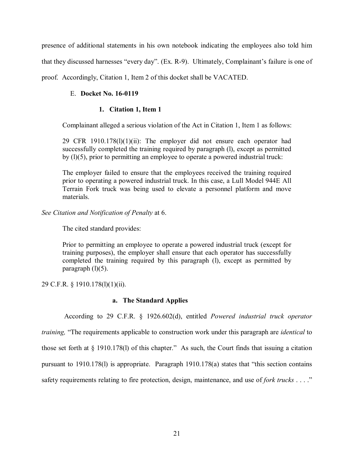presence of additional statements in his own notebook indicating the employees also told him that they discussed harnesses "every day". (Ex. R-9). Ultimately, Complainant's failure is one of proof. Accordingly, Citation 1, Item 2 of this docket shall be VACATED.

# E. **Docket No. 16-0119**

# **1. Citation 1, Item 1**

Complainant alleged a serious violation of the Act in Citation 1, Item 1 as follows:

29 CFR 1910.178 $(l)(1)(ii)$ : The employer did not ensure each operator had successfully completed the training required by paragraph (l), except as permitted by (l)(5), prior to permitting an employee to operate a powered industrial truck:

The employer failed to ensure that the employees received the training required prior to operating a powered industrial truck. In this case, a Lull Model 944E All Terrain Fork truck was being used to elevate a personnel platform and move materials.

*See Citation and Notification of Penalty* at 6.

The cited standard provides:

Prior to permitting an employee to operate a powered industrial truck (except for training purposes), the employer shall ensure that each operator has successfully completed the training required by this paragraph (l), except as permitted by paragraph  $(l)(5)$ .

29 C.F.R. § 1910.178(l)(1)(ii).

# **a. The Standard Applies**

According to 29 C.F.R. § 1926.602(d), entitled *Powered industrial truck operator* 

*training,* "The requirements applicable to construction work under this paragraph are *identical* to those set forth at § 1910.178(l) of this chapter." As such, the Court finds that issuing a citation pursuant to 1910.178(l) is appropriate. Paragraph 1910.178(a) states that "this section contains safety requirements relating to fire protection, design, maintenance, and use of *fork trucks* . . . ."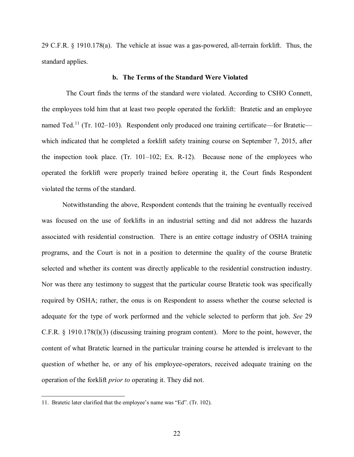29 C.F.R. § 1910.178(a). The vehicle at issue was a gas-powered, all-terrain forklift. Thus, the standard applies.

### **b. The Terms of the Standard Were Violated**

 The Court finds the terms of the standard were violated. According to CSHO Connett, the employees told him that at least two people operated the forklift: Bratetic and an employee named Ted.<sup>[11](#page-21-0)</sup> (Tr. 102-103). Respondent only produced one training certificate—for Bratetic which indicated that he completed a forklift safety training course on September 7, 2015, after the inspection took place. (Tr. 101–102; Ex. R-12). Because none of the employees who operated the forklift were properly trained before operating it, the Court finds Respondent violated the terms of the standard.

Notwithstanding the above, Respondent contends that the training he eventually received was focused on the use of forklifts in an industrial setting and did not address the hazards associated with residential construction. There is an entire cottage industry of OSHA training programs, and the Court is not in a position to determine the quality of the course Bratetic selected and whether its content was directly applicable to the residential construction industry. Nor was there any testimony to suggest that the particular course Bratetic took was specifically required by OSHA; rather, the onus is on Respondent to assess whether the course selected is adequate for the type of work performed and the vehicle selected to perform that job. *See* 29 C.F.R. § 1910.178(l)(3) (discussing training program content). More to the point, however, the content of what Bratetic learned in the particular training course he attended is irrelevant to the question of whether he, or any of his employee-operators, received adequate training on the operation of the forklift *prior to* operating it. They did not.

<span id="page-21-0"></span><sup>11.</sup> Bratetic later clarified that the employee's name was "Ed". (Tr. 102).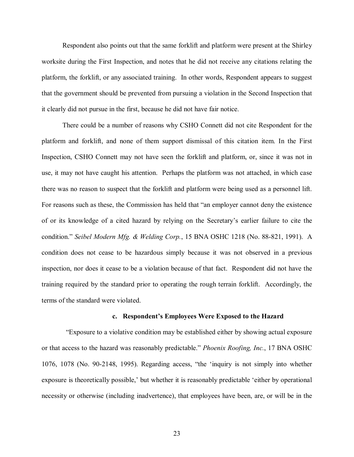Respondent also points out that the same forklift and platform were present at the Shirley worksite during the First Inspection, and notes that he did not receive any citations relating the platform, the forklift, or any associated training. In other words, Respondent appears to suggest that the government should be prevented from pursuing a violation in the Second Inspection that it clearly did not pursue in the first, because he did not have fair notice.

There could be a number of reasons why CSHO Connett did not cite Respondent for the platform and forklift, and none of them support dismissal of this citation item. In the First Inspection, CSHO Connett may not have seen the forklift and platform, or, since it was not in use, it may not have caught his attention. Perhaps the platform was not attached, in which case there was no reason to suspect that the forklift and platform were being used as a personnel lift. For reasons such as these, the Commission has held that "an employer cannot deny the existence of or its knowledge of a cited hazard by relying on the Secretary's earlier failure to cite the condition." *Seibel Modern Mfg. & Welding Corp.*, 15 BNA OSHC 1218 (No. 88-821, 1991). A condition does not cease to be hazardous simply because it was not observed in a previous inspection, nor does it cease to be a violation because of that fact. Respondent did not have the training required by the standard prior to operating the rough terrain forklift. Accordingly, the terms of the standard were violated.

#### **c. Respondent's Employees Were Exposed to the Hazard**

 "Exposure to a violative condition may be established either by showing actual exposure or that access to the hazard was reasonably predictable." *Phoenix Roofing, Inc.*, 17 BNA OSHC 1076, 1078 (No. 90-2148, 1995). Regarding access, "the 'inquiry is not simply into whether exposure is theoretically possible,' but whether it is reasonably predictable 'either by operational necessity or otherwise (including inadvertence), that employees have been, are, or will be in the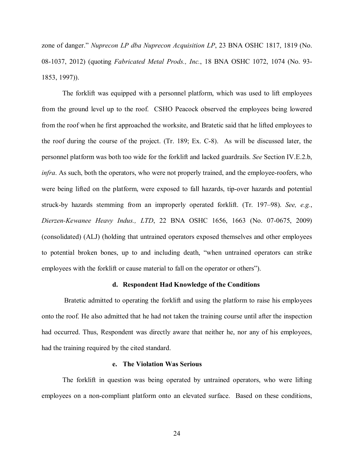zone of danger." *Nuprecon LP dba Nuprecon Acquisition LP*, 23 BNA OSHC 1817, 1819 (No. 08-1037, 2012) (quoting *Fabricated Metal Prods., Inc.*, 18 BNA OSHC 1072, 1074 (No. 93- 1853, 1997)).

The forklift was equipped with a personnel platform, which was used to lift employees from the ground level up to the roof. CSHO Peacock observed the employees being lowered from the roof when he first approached the worksite, and Bratetic said that he lifted employees to the roof during the course of the project. (Tr. 189; Ex. C-8). As will be discussed later, the personnel platform was both too wide for the forklift and lacked guardrails. *See* Section IV.E.2.b, *infra*. As such, both the operators, who were not properly trained, and the employee-roofers, who were being lifted on the platform, were exposed to fall hazards, tip-over hazards and potential struck-by hazards stemming from an improperly operated forklift. (Tr. 197–98). *See, e.g.*, *Dierzen-Kewanee Heavy Indus., LTD*, 22 BNA OSHC 1656, 1663 (No. 07-0675, 2009) (consolidated) (ALJ) (holding that untrained operators exposed themselves and other employees to potential broken bones, up to and including death, "when untrained operators can strike employees with the forklift or cause material to fall on the operator or others").

### **d. Respondent Had Knowledge of the Conditions**

 Bratetic admitted to operating the forklift and using the platform to raise his employees onto the roof. He also admitted that he had not taken the training course until after the inspection had occurred. Thus, Respondent was directly aware that neither he, nor any of his employees, had the training required by the cited standard.

#### **e. The Violation Was Serious**

The forklift in question was being operated by untrained operators, who were lifting employees on a non-compliant platform onto an elevated surface. Based on these conditions,

24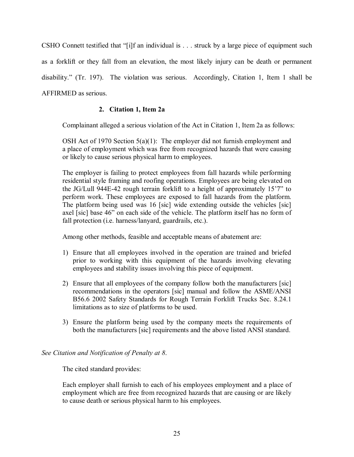CSHO Connett testified that "[i]f an individual is . . . struck by a large piece of equipment such as a forklift or they fall from an elevation, the most likely injury can be death or permanent disability." (Tr. 197). The violation was serious. Accordingly, Citation 1, Item 1 shall be AFFIRMED as serious.

# **2. Citation 1, Item 2a**

Complainant alleged a serious violation of the Act in Citation 1, Item 2a as follows:

OSH Act of 1970 Section  $5(a)(1)$ : The employer did not furnish employment and a place of employment which was free from recognized hazards that were causing or likely to cause serious physical harm to employees.

The employer is failing to protect employees from fall hazards while performing residential style framing and roofing operations. Employees are being elevated on the JG/Lull 944E-42 rough terrain forklift to a height of approximately 15'7" to perform work. These employees are exposed to fall hazards from the platform. The platform being used was 16 [sic] wide extending outside the vehicles [sic] axel [sic] base 46" on each side of the vehicle. The platform itself has no form of fall protection (i.e. harness/lanyard, guardrails, etc.).

Among other methods, feasible and acceptable means of abatement are:

- 1) Ensure that all employees involved in the operation are trained and briefed prior to working with this equipment of the hazards involving elevating employees and stability issues involving this piece of equipment.
- 2) Ensure that all employees of the company follow both the manufacturers [sic] recommendations in the operators [sic] manual and follow the ASME/ANSI B56.6 2002 Safety Standards for Rough Terrain Forklift Trucks Sec. 8.24.1 limitations as to size of platforms to be used.
- 3) Ensure the platform being used by the company meets the requirements of both the manufacturers [sic] requirements and the above listed ANSI standard.

*See Citation and Notification of Penalty at 8*.

The cited standard provides:

Each employer shall furnish to each of his employees employment and a place of employment which are free from recognized hazards that are causing or are likely to cause death or serious physical harm to his employees.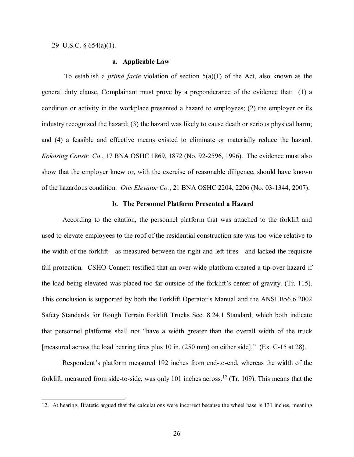29 U.S.C. § 654(a)(1).

 $\overline{a}$ 

### **a. Applicable Law**

 To establish a *prima facie* violation of section 5(a)(1) of the Act, also known as the general duty clause, Complainant must prove by a preponderance of the evidence that: (1) a condition or activity in the workplace presented a hazard to employees; (2) the employer or its industry recognized the hazard; (3) the hazard was likely to cause death or serious physical harm; and (4) a feasible and effective means existed to eliminate or materially reduce the hazard. *Kokosing Constr. Co*., 17 BNA OSHC 1869, 1872 (No. 92-2596, 1996). The evidence must also show that the employer knew or, with the exercise of reasonable diligence, should have known of the hazardous condition. *Otis Elevator Co.*, 21 BNA OSHC 2204, 2206 (No. 03-1344, 2007).

# **b. The Personnel Platform Presented a Hazard**

According to the citation, the personnel platform that was attached to the forklift and used to elevate employees to the roof of the residential construction site was too wide relative to the width of the forklift—as measured between the right and left tires—and lacked the requisite fall protection. CSHO Connett testified that an over-wide platform created a tip-over hazard if the load being elevated was placed too far outside of the forklift's center of gravity. (Tr. 115). This conclusion is supported by both the Forklift Operator's Manual and the ANSI B56.6 2002 Safety Standards for Rough Terrain Forklift Trucks Sec. 8.24.1 Standard, which both indicate that personnel platforms shall not "have a width greater than the overall width of the truck [measured across the load bearing tires plus 10 in. (250 mm) on either side]." (Ex. C-15 at 28).

Respondent's platform measured 192 inches from end-to-end, whereas the width of the forklift, measured from side-to-side, was only 101 inches across.<sup>[12](#page-25-0)</sup> (Tr. 109). This means that the

<span id="page-25-0"></span><sup>12.</sup> At hearing, Bratetic argued that the calculations were incorrect because the wheel base is 131 inches, meaning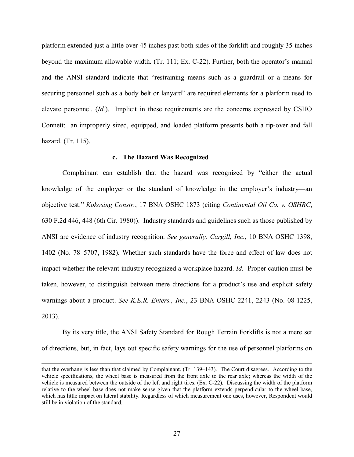platform extended just a little over 45 inches past both sides of the forklift and roughly 35 inches beyond the maximum allowable width. (Tr. 111; Ex. C-22). Further, both the operator's manual and the ANSI standard indicate that "restraining means such as a guardrail or a means for securing personnel such as a body belt or lanyard" are required elements for a platform used to elevate personnel. (*Id.*). Implicit in these requirements are the concerns expressed by CSHO Connett: an improperly sized, equipped, and loaded platform presents both a tip-over and fall hazard. (Tr. 115).

#### **c. The Hazard Was Recognized**

Complainant can establish that the hazard was recognized by "either the actual knowledge of the employer or the standard of knowledge in the employer's industry—an objective test." *Kokosing Constr.*, 17 BNA OSHC 1873 (citing *Continental Oil Co. v. OSHRC*, 630 F.2d 446, 448 (6th Cir. 1980)). Industry standards and guidelines such as those published by ANSI are evidence of industry recognition. *See generally, Cargill, Inc.,* 10 BNA OSHC 1398, 1402 (No. 78–5707, 1982). Whether such standards have the force and effect of law does not impact whether the relevant industry recognized a workplace hazard. *Id.* Proper caution must be taken, however, to distinguish between mere directions for a product's use and explicit safety warnings about a product. *See K.E.R. Enters., Inc.*, 23 BNA OSHC 2241, 2243 (No. 08-1225, 2013).

By its very title, the ANSI Safety Standard for Rough Terrain Forklifts is not a mere set of directions, but, in fact, lays out specific safety warnings for the use of personnel platforms on

that the overhang is less than that claimed by Complainant. (Tr. 139–143). The Court disagrees. According to the vehicle specifications, the wheel base is measured from the front axle to the rear axle; whereas the width of the vehicle is measured between the outside of the left and right tires. (Ex. C-22). Discussing the width of the platform relative to the wheel base does not make sense given that the platform extends perpendicular to the wheel base, which has little impact on lateral stability. Regardless of which measurement one uses, however, Respondent would still be in violation of the standard.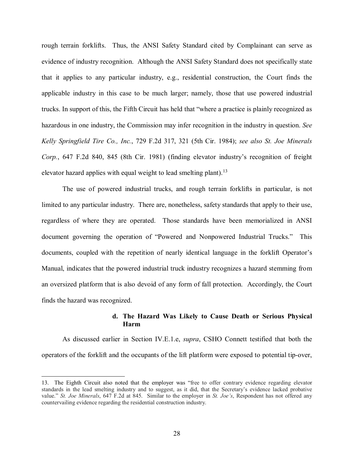rough terrain forklifts. Thus, the ANSI Safety Standard cited by Complainant can serve as evidence of industry recognition. Although the ANSI Safety Standard does not specifically state that it applies to any particular industry, e.g., residential construction, the Court finds the applicable industry in this case to be much larger; namely, those that use powered industrial trucks. In support of this, the Fifth Circuit has held that "where a practice is plainly recognized as hazardous in one industry, the Commission may infer recognition in the industry in question. *See Kelly Springfield Tire Co., Inc.*, 729 F.2d 317, 321 (5th Cir. 1984); *see also St. Joe Minerals Corp.*, 647 F.2d 840, 845 (8th Cir. 1981) (finding elevator industry's recognition of freight elevator hazard applies with equal weight to lead smelting plant).<sup>13</sup>

The use of powered industrial trucks, and rough terrain forklifts in particular, is not limited to any particular industry. There are, nonetheless, safety standards that apply to their use, regardless of where they are operated. Those standards have been memorialized in ANSI document governing the operation of "Powered and Nonpowered Industrial Trucks." This documents, coupled with the repetition of nearly identical language in the forklift Operator's Manual, indicates that the powered industrial truck industry recognizes a hazard stemming from an oversized platform that is also devoid of any form of fall protection. Accordingly, the Court finds the hazard was recognized.

# **d. The Hazard Was Likely to Cause Death or Serious Physical Harm**

As discussed earlier in Section IV.E.1.e, *supra*, CSHO Connett testified that both the operators of the forklift and the occupants of the lift platform were exposed to potential tip-over,

<span id="page-27-0"></span><sup>13.</sup> The Eighth Circuit also noted that the employer was "free to offer contrary evidence regarding elevator standards in the lead smelting industry and to suggest, as it did, that the Secretary's evidence lacked probative value." *St. Joe Minerals*, 647 F.2d at 845. Similar to the employer in *St. Joe's*, Respondent has not offered any countervailing evidence regarding the residential construction industry.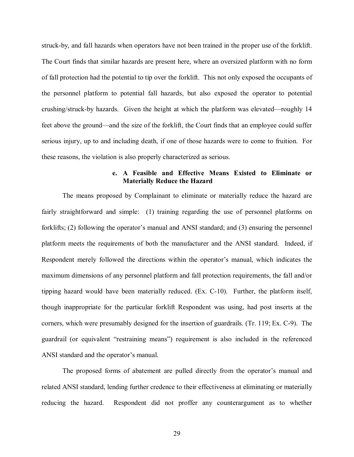struck-by, and fall hazards when operators have not been trained in the proper use of the forklift. The Court finds that similar hazards are present here, where an oversized platform with no form of fall protection had the potential to tip over the forklift. This not only exposed the occupants of the personnel platform to potential fall hazards, but also exposed the operator to potential crushing/struck-by hazards. Given the height at which the platform was elevated—roughly 14 feet above the ground—and the size of the forklift, the Court finds that an employee could suffer serious injury, up to and including death, if one of those hazards were to come to fruition. For these reasons, the violation is also properly characterized as serious.

# **e. A Feasible and Effective Means Existed to Eliminate or Materially Reduce the Hazard**

The means proposed by Complainant to eliminate or materially reduce the hazard are fairly straightforward and simple: (1) training regarding the use of personnel platforms on forklifts; (2) following the operator's manual and ANSI standard; and (3) ensuring the personnel platform meets the requirements of both the manufacturer and the ANSI standard. Indeed, if Respondent merely followed the directions within the operator's manual, which indicates the maximum dimensions of any personnel platform and fall protection requirements, the fall and/or tipping hazard would have been materially reduced. (Ex. C-10). Further, the platform itself, though inappropriate for the particular forklift Respondent was using, had post inserts at the corners, which were presumably designed for the insertion of guardrails. (Tr. 119; Ex. C-9). The guardrail (or equivalent "restraining means") requirement is also included in the referenced ANSI standard and the operator's manual.

The proposed forms of abatement are pulled directly from the operator's manual and related ANSI standard, lending further credence to their effectiveness at eliminating or materially reducing the hazard. Respondent did not proffer any counterargument as to whether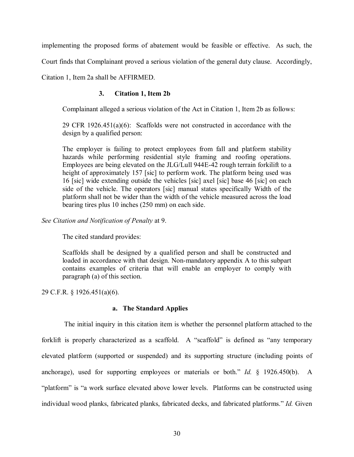implementing the proposed forms of abatement would be feasible or effective. As such, the

Court finds that Complainant proved a serious violation of the general duty clause. Accordingly,

Citation 1, Item 2a shall be AFFIRMED.

# **3. Citation 1, Item 2b**

Complainant alleged a serious violation of the Act in Citation 1, Item 2b as follows:

29 CFR 1926.451(a)(6): Scaffolds were not constructed in accordance with the design by a qualified person:

The employer is failing to protect employees from fall and platform stability hazards while performing residential style framing and roofing operations. Employees are being elevated on the JLG/Lull 944E-42 rough terrain forkilift to a height of approximately 157 [sic] to perform work. The platform being used was 16 [sic] wide extending outside the vehicles [sic] axel [sic] base 46 [sic] on each side of the vehicle. The operators [sic] manual states specifically Width of the platform shall not be wider than the width of the vehicle measured across the load bearing tires plus 10 inches (250 mm) on each side.

*See Citation and Notification of Penalty* at 9.

The cited standard provides:

Scaffolds shall be designed by a qualified person and shall be constructed and loaded in accordance with that design. Non-mandatory appendix A to this subpart contains examples of criteria that will enable an employer to comply with paragraph (a) of this section.

29 C.F.R. § 1926.451(a)(6).

## **a. The Standard Applies**

 The initial inquiry in this citation item is whether the personnel platform attached to the forklift is properly characterized as a scaffold. A "scaffold" is defined as "any temporary elevated platform (supported or suspended) and its supporting structure (including points of anchorage), used for supporting employees or materials or both." *Id.* § 1926.450(b). A "platform" is "a work surface elevated above lower levels. Platforms can be constructed using individual wood planks, fabricated planks, fabricated decks, and fabricated platforms." *Id.* Given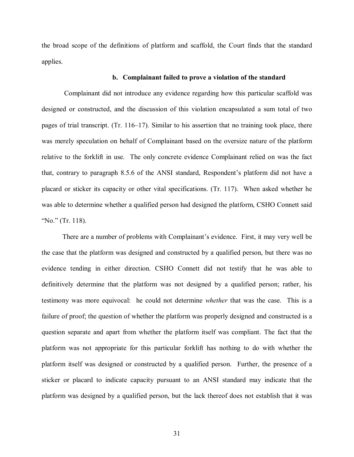the broad scope of the definitions of platform and scaffold, the Court finds that the standard applies.

### **b. Complainant failed to prove a violation of the standard**

 Complainant did not introduce any evidence regarding how this particular scaffold was designed or constructed, and the discussion of this violation encapsulated a sum total of two pages of trial transcript. (Tr. 116–17). Similar to his assertion that no training took place, there was merely speculation on behalf of Complainant based on the oversize nature of the platform relative to the forklift in use. The only concrete evidence Complainant relied on was the fact that, contrary to paragraph 8.5.6 of the ANSI standard, Respondent's platform did not have a placard or sticker its capacity or other vital specifications. (Tr. 117). When asked whether he was able to determine whether a qualified person had designed the platform, CSHO Connett said "No." (Tr. 118).

There are a number of problems with Complainant's evidence. First, it may very well be the case that the platform was designed and constructed by a qualified person, but there was no evidence tending in either direction. CSHO Connett did not testify that he was able to definitively determine that the platform was not designed by a qualified person; rather, his testimony was more equivocal: he could not determine *whether* that was the case. This is a failure of proof; the question of whether the platform was properly designed and constructed is a question separate and apart from whether the platform itself was compliant. The fact that the platform was not appropriate for this particular forklift has nothing to do with whether the platform itself was designed or constructed by a qualified person. Further, the presence of a sticker or placard to indicate capacity pursuant to an ANSI standard may indicate that the platform was designed by a qualified person, but the lack thereof does not establish that it was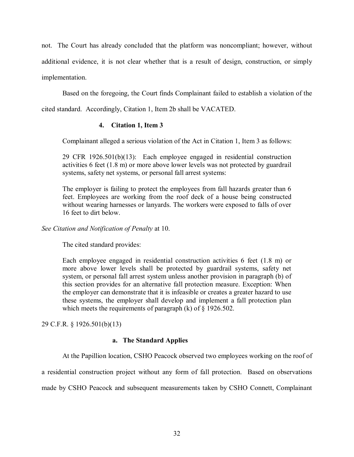not. The Court has already concluded that the platform was noncompliant; however, without additional evidence, it is not clear whether that is a result of design, construction, or simply implementation.

Based on the foregoing, the Court finds Complainant failed to establish a violation of the

cited standard. Accordingly, Citation 1, Item 2b shall be VACATED.

# **4. Citation 1, Item 3**

Complainant alleged a serious violation of the Act in Citation 1, Item 3 as follows:

29 CFR 1926.501(b)(13): Each employee engaged in residential construction activities 6 feet (1.8 m) or more above lower levels was not protected by guardrail systems, safety net systems, or personal fall arrest systems:

The employer is failing to protect the employees from fall hazards greater than 6 feet. Employees are working from the roof deck of a house being constructed without wearing harnesses or lanyards. The workers were exposed to falls of over 16 feet to dirt below.

*See Citation and Notification of Penalty* at 10.

The cited standard provides:

Each employee engaged in residential construction activities 6 feet (1.8 m) or more above lower levels shall be protected by guardrail systems, safety net system, or personal fall arrest system unless another provision in paragraph (b) of this section provides for an alternative fall protection measure. Exception: When the employer can demonstrate that it is infeasible or creates a greater hazard to use these systems, the employer shall develop and implement a fall protection plan which meets the requirements of paragraph  $(k)$  of  $\S$  1926.502.

29 C.F.R. § 1926.501(b)(13)

# **a. The Standard Applies**

At the Papillion location, CSHO Peacock observed two employees working on the roof of

a residential construction project without any form of fall protection. Based on observations

made by CSHO Peacock and subsequent measurements taken by CSHO Connett, Complainant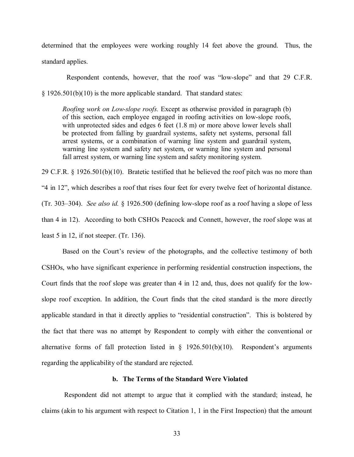determined that the employees were working roughly 14 feet above the ground. Thus, the standard applies.

 Respondent contends, however, that the roof was "low-slope" and that 29 C.F.R. § 1926.501(b)(10) is the more applicable standard. That standard states:

*Roofing work on Low-slope roofs.* Except as otherwise provided in paragraph (b) of this section, each employee engaged in roofing activities on low-slope roofs, with unprotected sides and edges 6 feet (1.8 m) or more above lower levels shall be protected from falling by guardrail systems, safety net systems, personal fall arrest systems, or a combination of warning line system and guardrail system, warning line system and safety net system, or warning line system and personal fall arrest system, or warning line system and safety monitoring system.

29 C.F.R. § 1926.501(b)(10). Bratetic testified that he believed the roof pitch was no more than "4 in 12", which describes a roof that rises four feet for every twelve feet of horizontal distance. (Tr. 303–304). *See also id.* § 1926.500 (defining low-slope roof as a roof having a slope of less than 4 in 12). According to both CSHOs Peacock and Connett, however, the roof slope was at least 5 in 12, if not steeper. (Tr. 136).

Based on the Court's review of the photographs, and the collective testimony of both CSHOs, who have significant experience in performing residential construction inspections, the Court finds that the roof slope was greater than 4 in 12 and, thus, does not qualify for the lowslope roof exception. In addition, the Court finds that the cited standard is the more directly applicable standard in that it directly applies to "residential construction". This is bolstered by the fact that there was no attempt by Respondent to comply with either the conventional or alternative forms of fall protection listed in  $\S$  1926.501(b)(10). Respondent's arguments regarding the applicability of the standard are rejected.

# **b. The Terms of the Standard Were Violated**

 Respondent did not attempt to argue that it complied with the standard; instead, he claims (akin to his argument with respect to Citation 1, 1 in the First Inspection) that the amount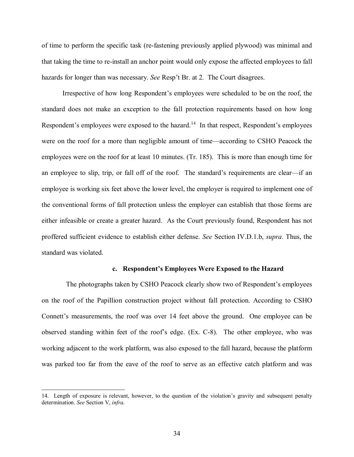of time to perform the specific task (re-fastening previously applied plywood) was minimal and that taking the time to re-install an anchor point would only expose the affected employees to fall hazards for longer than was necessary. *See* Resp't Br. at 2. The Court disagrees.

Irrespective of how long Respondent's employees were scheduled to be on the roof, the standard does not make an exception to the fall protection requirements based on how long Respondent's employees were exposed to the hazard.<sup>14</sup> In that respect, Respondent's employees were on the roof for a more than negligible amount of time—according to CSHO Peacock the employees were on the roof for at least 10 minutes. (Tr. 185). This is more than enough time for an employee to slip, trip, or fall off of the roof. The standard's requirements are clear—if an employee is working six feet above the lower level, the employer is required to implement one of the conventional forms of fall protection unless the employer can establish that those forms are either infeasible or create a greater hazard. As the Court previously found, Respondent has not proffered sufficient evidence to establish either defense. *See* Section IV.D.1.b, *supra*. Thus, the standard was violated.

#### **c. Respondent's Employees Were Exposed to the Hazard**

 The photographs taken by CSHO Peacock clearly show two of Respondent's employees on the roof of the Papillion construction project without fall protection. According to CSHO Connett's measurements, the roof was over 14 feet above the ground. One employee can be observed standing within feet of the roof's edge. (Ex. C-8). The other employee, who was working adjacent to the work platform, was also exposed to the fall hazard, because the platform was parked too far from the eave of the roof to serve as an effective catch platform and was

<span id="page-33-0"></span><sup>14.</sup> Length of exposure is relevant, however, to the question of the violation's gravity and subsequent penalty determination. *See* Section V, *infra*.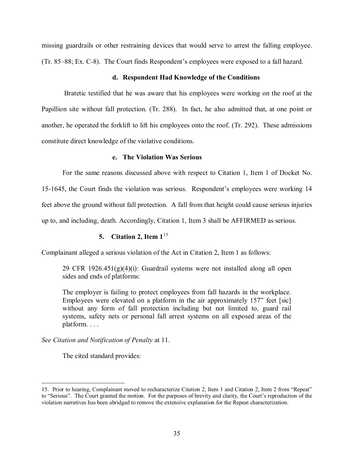missing guardrails or other restraining devices that would serve to arrest the falling employee. (Tr. 85–88; Ex. C-8). The Court finds Respondent's employees were exposed to a fall hazard.

## **d. Respondent Had Knowledge of the Conditions**

 Bratetic testified that he was aware that his employees were working on the roof at the Papillion site without fall protection. (Tr. 288). In fact, he also admitted that, at one point or another, he operated the forklift to lift his employees onto the roof. (Tr. 292). These admissions constitute direct knowledge of the violative conditions.

# **e. The Violation Was Serious**

For the same reasons discussed above with respect to Citation 1, Item 1 of Docket No. 15-1645, the Court finds the violation was serious. Respondent's employees were working 14 feet above the ground without fall protection. A fall from that height could cause serious injuries up to, and including, death. Accordingly, Citation 1, Item 3 shall be AFFIRMED as serious.

# **5. Citation 2, Item 1**[15](#page-34-0)

Complainant alleged a serious violation of the Act in Citation 2, Item 1 as follows:

29 CFR 1926.451(g)(4)(i): Guardrail systems were not installed along all open sides and ends of platforms:

The employer is failing to protect employees from fall hazards in the workplace. Employees were elevated on a platform in the air approximately 157" feet [sic] without any form of fall protection including but not limited to, guard rail systems, safety nets or personal fall arrest systems on all exposed areas of the platform. . . .

*See Citation and Notification of Penalty* at 11.

The cited standard provides:

<span id="page-34-0"></span><sup>15.</sup> Prior to hearing, Complainant moved to recharacterize Citation 2, Item 1 and Citation 2, Item 2 from "Repeat" to "Serious". The Court granted the motion. For the purposes of brevity and clarity, the Court's reproduction of the violation narratives has been abridged to remove the extensive explanation for the Repeat characterization.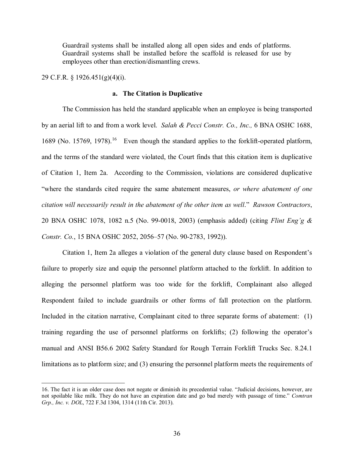Guardrail systems shall be installed along all open sides and ends of platforms. Guardrail systems shall be installed before the scaffold is released for use by employees other than erection/dismantling crews.

## 29 C.F.R. § 1926.451(g)(4)(i).

 $\overline{a}$ 

### **a. The Citation is Duplicative**

The Commission has held the standard applicable when an employee is being transported by an aerial lift to and from a work level. *Salah & Pecci Constr. Co., Inc.,* 6 BNA OSHC 1688, [16](#page-35-0)89 (No. 15769, 1978).<sup>16</sup> Even though the standard applies to the forklift-operated platform, and the terms of the standard were violated, the Court finds that this citation item is duplicative of Citation 1, Item 2a. According to the Commission, violations are considered duplicative "where the standards cited require the same abatement measures, *or where abatement of one citation will necessarily result in the abatement of the other item as well*." *Rawson Contractors*, 20 BNA OSHC 1078, 1082 n.5 (No. 99-0018, 2003) (emphasis added) (citing *Flint Eng'g & Constr. Co.*, 15 BNA OSHC 2052, 2056–57 (No. 90-2783, 1992)).

Citation 1, Item 2a alleges a violation of the general duty clause based on Respondent's failure to properly size and equip the personnel platform attached to the forklift. In addition to alleging the personnel platform was too wide for the forklift, Complainant also alleged Respondent failed to include guardrails or other forms of fall protection on the platform. Included in the citation narrative, Complainant cited to three separate forms of abatement: (1) training regarding the use of personnel platforms on forklifts; (2) following the operator's manual and ANSI B56.6 2002 Safety Standard for Rough Terrain Forklift Trucks Sec. 8.24.1 limitations as to platform size; and (3) ensuring the personnel platform meets the requirements of

<span id="page-35-0"></span><sup>16.</sup> The fact it is an older case does not negate or diminish its precedential value. "Judicial decisions, however, are not spoilable like milk. They do not have an expiration date and go bad merely with passage of time." *Comtran Grp., Inc. v. DOL*, 722 F.3d 1304, 1314 (11th Cir. 2013).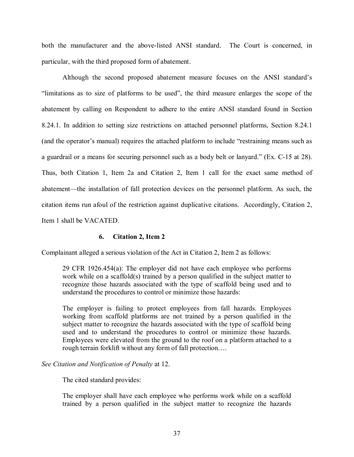both the manufacturer and the above-listed ANSI standard. The Court is concerned, in particular, with the third proposed form of abatement.

Although the second proposed abatement measure focuses on the ANSI standard's "limitations as to size of platforms to be used", the third measure enlarges the scope of the abatement by calling on Respondent to adhere to the entire ANSI standard found in Section 8.24.1. In addition to setting size restrictions on attached personnel platforms, Section 8.24.1 (and the operator's manual) requires the attached platform to include "restraining means such as a guardrail or a means for securing personnel such as a body belt or lanyard." (Ex. C-15 at 28). Thus, both Citation 1, Item 2a and Citation 2, Item 1 call for the exact same method of abatement—the installation of fall protection devices on the personnel platform. As such, the citation items run afoul of the restriction against duplicative citations. Accordingly, Citation 2, Item 1 shall be VACATED.

## **6. Citation 2, Item 2**

Complainant alleged a serious violation of the Act in Citation 2, Item 2 as follows:

29 CFR 1926.454(a): The employer did not have each employee who performs work while on a scaffold(s) trained by a person qualified in the subject matter to recognize those hazards associated with the type of scaffold being used and to understand the procedures to control or minimize those hazards:

The employer is failing to protect employees from fall hazards. Employees working from scaffold platforms are not trained by a person qualified in the subject matter to recognize the hazards associated with the type of scaffold being used and to understand the procedures to control or minimize those hazards. Employees were elevated from the ground to the roof on a platform attached to a rough terrain forklift without any form of fall protection….

# *See Citation and Notification of Penalty* at 12.

The cited standard provides:

The employer shall have each employee who performs work while on a scaffold trained by a person qualified in the subject matter to recognize the hazards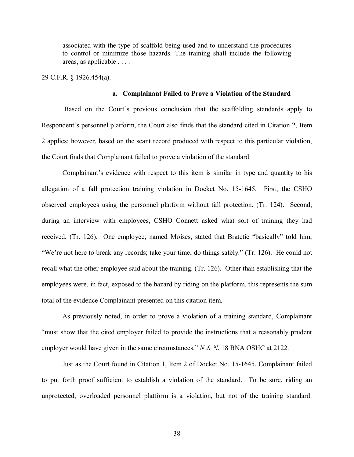associated with the type of scaffold being used and to understand the procedures to control or minimize those hazards. The training shall include the following areas, as applicable . . . .

29 C.F.R. § 1926.454(a).

### **a. Complainant Failed to Prove a Violation of the Standard**

 Based on the Court's previous conclusion that the scaffolding standards apply to Respondent's personnel platform, the Court also finds that the standard cited in Citation 2, Item 2 applies; however, based on the scant record produced with respect to this particular violation, the Court finds that Complainant failed to prove a violation of the standard.

Complainant's evidence with respect to this item is similar in type and quantity to his allegation of a fall protection training violation in Docket No. 15-1645. First, the CSHO observed employees using the personnel platform without fall protection. (Tr. 124). Second, during an interview with employees, CSHO Connett asked what sort of training they had received. (Tr. 126). One employee, named Moises, stated that Bratetic "basically" told him, "We're not here to break any records; take your time; do things safely." (Tr. 126). He could not recall what the other employee said about the training. (Tr. 126). Other than establishing that the employees were, in fact, exposed to the hazard by riding on the platform, this represents the sum total of the evidence Complainant presented on this citation item.

As previously noted, in order to prove a violation of a training standard, Complainant "must show that the cited employer failed to provide the instructions that a reasonably prudent employer would have given in the same circumstances." *N & N*, 18 BNA OSHC at 2122.

Just as the Court found in Citation 1, Item 2 of Docket No. 15-1645, Complainant failed to put forth proof sufficient to establish a violation of the standard. To be sure, riding an unprotected, overloaded personnel platform is a violation, but not of the training standard.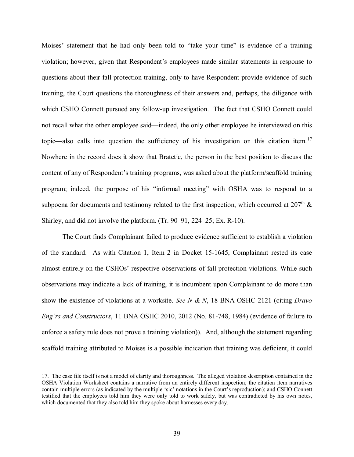Moises' statement that he had only been told to "take your time" is evidence of a training violation; however, given that Respondent's employees made similar statements in response to questions about their fall protection training, only to have Respondent provide evidence of such training, the Court questions the thoroughness of their answers and, perhaps, the diligence with which CSHO Connett pursued any follow-up investigation. The fact that CSHO Connett could not recall what the other employee said—indeed, the only other employee he interviewed on this topic—also calls into question the sufficiency of his investigation on this citation item.<sup>[17](#page-38-0)</sup> Nowhere in the record does it show that Bratetic, the person in the best position to discuss the content of any of Respondent's training programs, was asked about the platform/scaffold training program; indeed, the purpose of his "informal meeting" with OSHA was to respond to a subpoena for documents and testimony related to the first inspection, which occurred at  $207<sup>th</sup>$  & Shirley, and did not involve the platform. (Tr. 90–91, 224–25; Ex. R-10).

The Court finds Complainant failed to produce evidence sufficient to establish a violation of the standard. As with Citation 1, Item 2 in Docket 15-1645, Complainant rested its case almost entirely on the CSHOs' respective observations of fall protection violations. While such observations may indicate a lack of training, it is incumbent upon Complainant to do more than show the existence of violations at a worksite. *See N & N*, 18 BNA OSHC 2121 (citing *Dravo Eng'rs and Constructors*, 11 BNA OSHC 2010, 2012 (No. 81-748, 1984) (evidence of failure to enforce a safety rule does not prove a training violation)). And, although the statement regarding scaffold training attributed to Moises is a possible indication that training was deficient, it could

<span id="page-38-0"></span><sup>17.</sup> The case file itself is not a model of clarity and thoroughness. The alleged violation description contained in the OSHA Violation Worksheet contains a narrative from an entirely different inspection; the citation item narratives contain multiple errors (as indicated by the multiple 'sic' notations in the Court's reproduction); and CSHO Connett testified that the employees told him they were only told to work safely, but was contradicted by his own notes, which documented that they also told him they spoke about harnesses every day.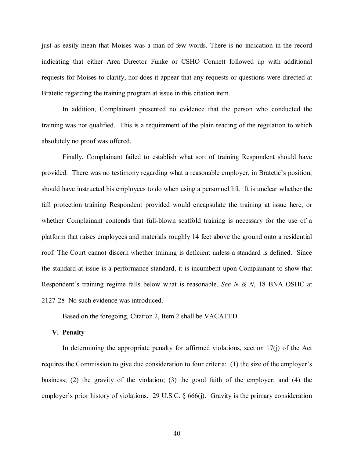just as easily mean that Moises was a man of few words. There is no indication in the record indicating that either Area Director Funke or CSHO Connett followed up with additional requests for Moises to clarify, nor does it appear that any requests or questions were directed at Bratetic regarding the training program at issue in this citation item.

In addition, Complainant presented no evidence that the person who conducted the training was not qualified. This is a requirement of the plain reading of the regulation to which absolutely no proof was offered.

Finally, Complainant failed to establish what sort of training Respondent should have provided. There was no testimony regarding what a reasonable employer, in Bratetic's position, should have instructed his employees to do when using a personnel lift. It is unclear whether the fall protection training Respondent provided would encapsulate the training at issue here, or whether Complainant contends that full-blown scaffold training is necessary for the use of a platform that raises employees and materials roughly 14 feet above the ground onto a residential roof. The Court cannot discern whether training is deficient unless a standard is defined. Since the standard at issue is a performance standard, it is incumbent upon Complainant to show that Respondent's training regime falls below what is reasonable. *See N & N*, 18 BNA OSHC at 2127-28 No such evidence was introduced.

Based on the foregoing, Citation 2, Item 2 shall be VACATED.

### **V. Penalty**

In determining the appropriate penalty for affirmed violations, section  $17(j)$  of the Act requires the Commission to give due consideration to four criteria: (1) the size of the employer's business; (2) the gravity of the violation; (3) the good faith of the employer; and (4) the employer's prior history of violations. 29 U.S.C. § 666(j). Gravity is the primary consideration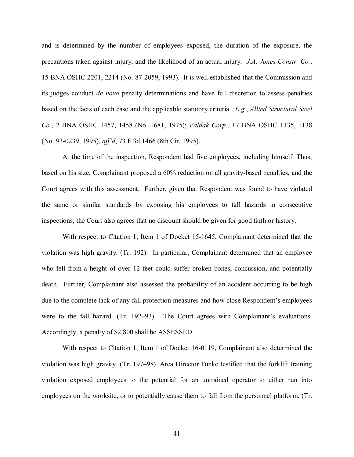and is determined by the number of employees exposed, the duration of the exposure, the precautions taken against injury, and the likelihood of an actual injury. *J.A. Jones Constr. Co.*, 15 BNA OSHC 2201, 2214 (No. 87-2059, 1993). It is well established that the Commission and its judges conduct *de novo* penalty determinations and have full discretion to assess penalties based on the facts of each case and the applicable statutory criteria. *E.g.*, *Allied Structural Steel Co.*, 2 BNA OSHC 1457, 1458 (No. 1681, 1975); *Valdak Corp*., 17 BNA OSHC 1135, 1138 (No. 93-0239, 1995), *aff'd*, 73 F.3d 1466 (8th Cir. 1995).

At the time of the inspection, Respondent had five employees, including himself. Thus, based on his size, Complainant proposed a 60% reduction on all gravity-based penalties, and the Court agrees with this assessment. Further, given that Respondent was found to have violated the same or similar standards by exposing his employees to fall hazards in consecutive inspections, the Court also agrees that no discount should be given for good faith or history.

With respect to Citation 1, Item 1 of Docket 15-1645, Complainant determined that the violation was high gravity. (Tr. 192). In particular, Complainant determined that an employee who fell from a height of over 12 feet could suffer broken bones, concussion, and potentially death. Further, Complainant also assessed the probability of an accident occurring to be high due to the complete lack of any fall protection measures and how close Respondent's employees were to the fall hazard. (Tr. 192–93). The Court agrees with Complainant's evaluations. Accordingly, a penalty of \$2,800 shall be ASSESSED.

With respect to Citation 1, Item 1 of Docket 16-0119, Complainant also determined the violation was high gravity. (Tr. 197–98). Area Director Funke testified that the forklift training violation exposed employees to the potential for an untrained operator to either run into employees on the worksite, or to potentially cause them to fall from the personnel platform. (Tr.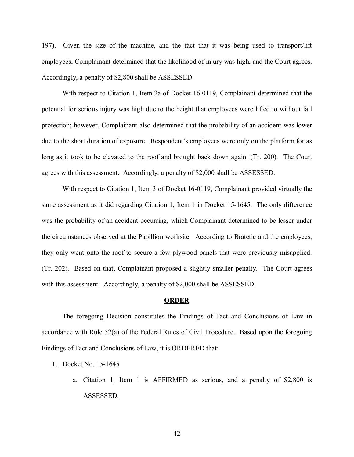197). Given the size of the machine, and the fact that it was being used to transport/lift employees, Complainant determined that the likelihood of injury was high, and the Court agrees. Accordingly, a penalty of \$2,800 shall be ASSESSED.

With respect to Citation 1, Item 2a of Docket 16-0119, Complainant determined that the potential for serious injury was high due to the height that employees were lifted to without fall protection; however, Complainant also determined that the probability of an accident was lower due to the short duration of exposure. Respondent's employees were only on the platform for as long as it took to be elevated to the roof and brought back down again. (Tr. 200). The Court agrees with this assessment. Accordingly, a penalty of \$2,000 shall be ASSESSED.

With respect to Citation 1, Item 3 of Docket 16-0119, Complainant provided virtually the same assessment as it did regarding Citation 1, Item 1 in Docket 15-1645. The only difference was the probability of an accident occurring, which Complainant determined to be lesser under the circumstances observed at the Papillion worksite. According to Bratetic and the employees, they only went onto the roof to secure a few plywood panels that were previously misapplied. (Tr. 202). Based on that, Complainant proposed a slightly smaller penalty. The Court agrees with this assessment. Accordingly, a penalty of \$2,000 shall be ASSESSED.

#### **ORDER**

The foregoing Decision constitutes the Findings of Fact and Conclusions of Law in accordance with Rule 52(a) of the Federal Rules of Civil Procedure. Based upon the foregoing Findings of Fact and Conclusions of Law, it is ORDERED that:

- 1. Docket No. 15-1645
	- a. Citation 1, Item 1 is AFFIRMED as serious, and a penalty of \$2,800 is ASSESSED.

42